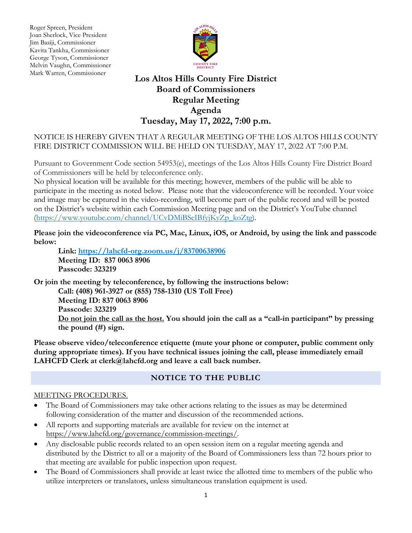Roger Spreen, President<br>Joan Sherlock, Vice Pres Joan Sherlock, Vice President Jim Basiji, Commissioner Kavita Tankha, Commissioner George Tyson, Commissioner Melvin Vaughn, Commissioner Mark Warren, Commissioner



# **Los Altos Hills County Fire District Board of Commissioners Regular Meeting Agenda Tuesday, May 17, 2022, 7:00 p.m.**

## NOTICE IS HEREBY GIVEN THAT A REGULAR MEETING OF THE LOS ALTOS HILLS COUNTY FIRE DISTRICT COMMISSION WILL BE HELD ON TUESDAY, MAY 17, 2022 AT 7:00 P.M.

Pursuant to Government Code section 54953(e), meetings of the Los Altos Hills County Fire District Board of Commissioners will be held by teleconference only.

No physical location will be available for this meeting; however, members of the public will be able to participate in the meeting as noted below. Please note that the videoconference will be recorded. Your voice and image may be captured in the video-recording, will become part of the public record and will be posted on the District's website within each Commission Meeting page and on the District's YouTube channel (https://www.youtube.com/channel/UCvDMiBSeIBfyjKyZp\_koZtg).

**Please join the videoconference via PC, Mac, Linux, iOS, or Android, by using the link and passcode below:** 

**Link: https://lahcfd-org.zoom.us/j/83700638906 Meeting ID: 837 0063 8906 Passcode: 323219**

**Or join the meeting by teleconference, by following the instructions below: Call: (408) 961-3927 or (855) 758-1310 (US Toll Free) Meeting ID: 837 0063 8906 Passcode: 323219 Do not join the call as the host. You should join the call as a "call-in participant" by pressing the pound (#) sign.**

**Please observe video/teleconference etiquette (mute your phone or computer, public comment only during appropriate times). If you have technical issues joining the call, please immediately email LAHCFD Clerk at clerk@lahcfd.org and leave a call back number.**

## **NOTICE TO THE PUBLIC**

#### MEETING PROCEDURES.

- The Board of Commissioners may take other actions relating to the issues as may be determined following consideration of the matter and discussion of the recommended actions.
- All reports and supporting materials are available for review on the internet at [https://www.lahcfd.org/governance/commission-meetings/.](https://www.lahcfd.org/governance/commission-meetings/)
- Any disclosable public records related to an open session item on a regular meeting agenda and distributed by the District to all or a majority of the Board of Commissioners less than 72 hours prior to that meeting are available for public inspection upon request.
- The Board of Commissioners shall provide at least twice the allotted time to members of the public who utilize interpreters or translators, unless simultaneous translation equipment is used.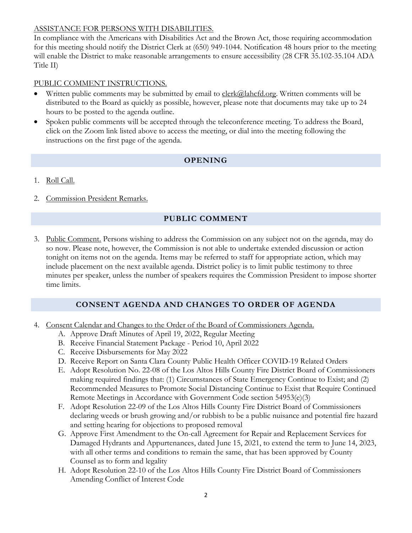#### ASSISTANCE FOR PERSONS WITH DISABILITIES.

In compliance with the Americans with Disabilities Act and the Brown Act, those requiring accommodation for this meeting should notify the District Clerk at (650) 949-1044. Notification 48 hours prior to the meeting will enable the District to make reasonable arrangements to ensure accessibility (28 CFR 35.102-35.104 ADA Title II)

#### PUBLIC COMMENT INSTRUCTIONS.

- Written public comments may be submitted by email to  $\frac{c\, \text{lerk}(\hat{\omega})}{\text{alhcfd.org}}$ . Written comments will be distributed to the Board as quickly as possible, however, please note that documents may take up to 24 hours to be posted to the agenda outline.
- Spoken public comments will be accepted through the teleconference meeting. To address the Board, click on the Zoom link listed above to access the meeting, or dial into the meeting following the instructions on the first page of the agenda.

## **OPENING**

- 1. Roll Call.
- 2. Commission President Remarks.

## **PUBLIC COMMENT**

3. Public Comment. Persons wishing to address the Commission on any subject not on the agenda, may do so now. Please note, however, the Commission is not able to undertake extended discussion or action tonight on items not on the agenda. Items may be referred to staff for appropriate action, which may include placement on the next available agenda. District policy is to limit public testimony to three minutes per speaker, unless the number of speakers requires the Commission President to impose shorter time limits.

#### **CONSENT AGENDA AND CHANGES TO ORDER OF AGENDA**

- 4. Consent Calendar and Changes to the Order of the Board of Commissioners Agenda.
	- A. Approve Draft Minutes of April 19, 2022, Regular Meeting
	- B. Receive Financial Statement Package Period 10, April 2022
	- C. Receive Disbursements for May 2022
	- D. Receive Report on Santa Clara County Public Health Officer COVID-19 Related Orders
	- E. Adopt Resolution No. 22-08 of the Los Altos Hills County Fire District Board of Commissioners making required findings that: (1) Circumstances of State Emergency Continue to Exist; and (2) Recommended Measures to Promote Social Distancing Continue to Exist that Require Continued Remote Meetings in Accordance with Government Code section 54953(e)(3)
	- F. Adopt Resolution 22-09 of the Los Altos Hills County Fire District Board of Commissioners declaring weeds or brush growing and/or rubbish to be a public nuisance and potential fire hazard and setting hearing for objections to proposed removal
	- G. Approve First Amendment to the On-call Agreement for Repair and Replacement Services for Damaged Hydrants and Appurtenances, dated June 15, 2021, to extend the term to June 14, 2023, with all other terms and conditions to remain the same, that has been approved by County Counsel as to form and legality
	- H. Adopt Resolution 22-10 of the Los Altos Hills County Fire District Board of Commissioners Amending Conflict of Interest Code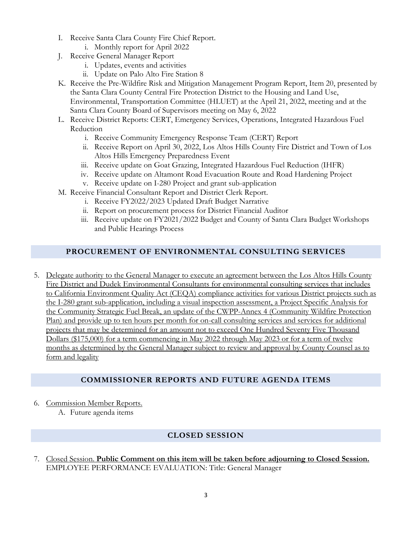- I. Receive Santa Clara County Fire Chief Report.
	- i. Monthly report for April 2022
- J. Receive General Manager Report
	- i. Updates, events and activities
	- ii. Update on Palo Alto Fire Station 8
- K. Receive the Pre-Wildfire Risk and Mitigation Management Program Report, Item 20, presented by the Santa Clara County Central Fire Protection District to the Housing and Land Use, Environmental, Transportation Committee (HLUET) at the April 21, 2022, meeting and at the Santa Clara County Board of Supervisors meeting on May 6, 2022
- L. Receive District Reports: CERT, Emergency Services, Operations, Integrated Hazardous Fuel Reduction
	- i. Receive Community Emergency Response Team (CERT) Report
	- ii. Receive Report on April 30, 2022, Los Altos Hills County Fire District and Town of Los Altos Hills Emergency Preparedness Event
	- iii. Receive update on Goat Grazing, Integrated Hazardous Fuel Reduction (IHFR)
	- iv. Receive update on Altamont Road Evacuation Route and Road Hardening Project
	- v. Receive update on I-280 Project and grant sub-application
- M. Receive Financial Consultant Report and District Clerk Report.
	- i. Receive FY2022/2023 Updated Draft Budget Narrative
	- ii. Report on procurement process for District Financial Auditor
	- iii. Receive update on FY2021/2022 Budget and County of Santa Clara Budget Workshops and Public Hearings Process

# **PROCUREMENT OF ENVIRONMENTAL CONSULTING SERVICES**

5. Delegate authority to the General Manager to execute an agreement between the Los Altos Hills County Fire District and Dudek Environmental Consultants for environmental consulting services that includes to California Environment Quality Act (CEQA) compliance activities for various District projects such as the I-280 grant sub-application, including a visual inspection assessment, a Project Specific Analysis for the Community Strategic Fuel Break, an update of the CWPP-Annex 4 (Community Wildfire Protection Plan) and provide up to ten hours per month for on-call consulting services and services for additional projects that may be determined for an amount not to exceed One Hundred Seventy Five Thousand Dollars (\$175,000) for a term commencing in May 2022 through May 2023 or for a term of twelve months as determined by the General Manager subject to review and approval by County Counsel as to form and legality

# **COMMISSIONER REPORTS AND FUTURE AGENDA ITEMS**

- 6. Commission Member Reports.
	- A. Future agenda items

# **CLOSED SESSION**

7. Closed Session. **Public Comment on this item will be taken before adjourning to Closed Session.** EMPLOYEE PERFORMANCE EVALUATION: Title: General Manager